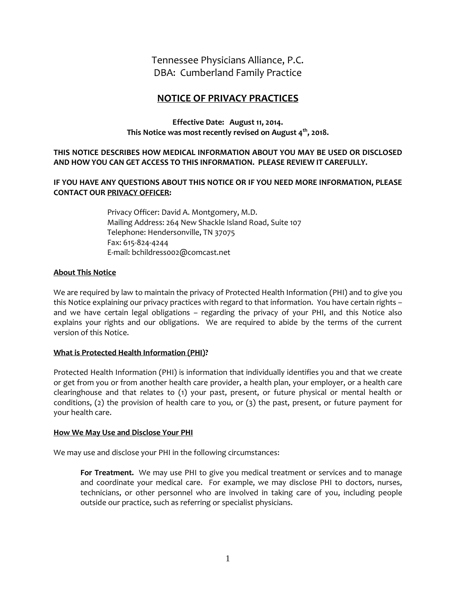Tennessee Physicians Alliance, P.C. DBA: Cumberland Family Practice

# **NOTICE OF PRIVACY PRACTICES**

**Effective Date: August 11, 2014. This Notice was most recently revised on August 4 th, 2018.**

**THIS NOTICE DESCRIBES HOW MEDICAL INFORMATION ABOUT YOU MAY BE USED OR DISCLOSED AND HOW YOU CAN GET ACCESS TO THIS INFORMATION. PLEASE REVIEW IT CAREFULLY.**

**IF YOU HAVE ANY QUESTIONS ABOUT THIS NOTICE OR IF YOU NEED MORE INFORMATION, PLEASE CONTACT OUR PRIVACY OFFICER:**

> Privacy Officer: David A. Montgomery, M.D. Mailing Address: 264 New Shackle Island Road, Suite 107 Telephone: Hendersonville, TN 37075 Fax: 615-824-4244 E-mail: bchildress002@comcast.net

### **About This Notice**

We are required by law to maintain the privacy of Protected Health Information (PHI) and to give you this Notice explaining our privacy practices with regard to that information. You have certain rights – and we have certain legal obligations – regarding the privacy of your PHI, and this Notice also explains your rights and our obligations. We are required to abide by the terms of the current version of this Notice.

#### **What is Protected Health Information (PHI)?**

Protected Health Information (PHI) is information that individually identifies you and that we create or get from you or from another health care provider, a health plan, your employer, or a health care clearinghouse and that relates to (1) your past, present, or future physical or mental health or conditions, (2) the provision of health care to you, or (3) the past, present, or future payment for your health care.

#### **How We May Use and Disclose Your PHI**

We may use and disclose your PHI in the following circumstances:

**For Treatment.** We may use PHI to give you medical treatment or services and to manage and coordinate your medical care. For example, we may disclose PHI to doctors, nurses, technicians, or other personnel who are involved in taking care of you, including people outside our practice, such as referring or specialist physicians.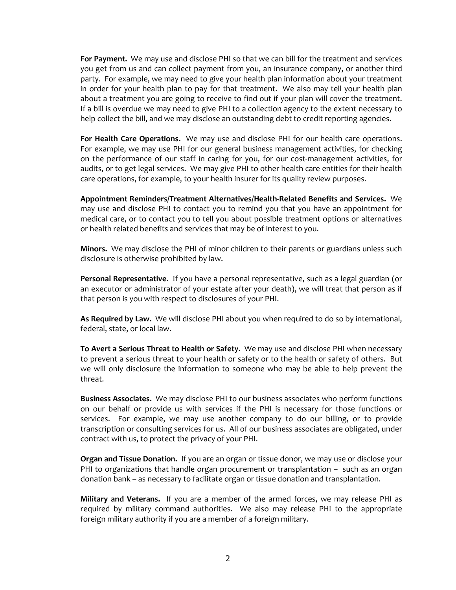**For Payment.** We may use and disclose PHI so that we can bill for the treatment and services you get from us and can collect payment from you, an insurance company, or another third party. For example, we may need to give your health plan information about your treatment in order for your health plan to pay for that treatment. We also may tell your health plan about a treatment you are going to receive to find out if your plan will cover the treatment. If a bill is overdue we may need to give PHI to a collection agency to the extent necessary to help collect the bill, and we may disclose an outstanding debt to credit reporting agencies.

**For Health Care Operations.** We may use and disclose PHI for our health care operations. For example, we may use PHI for our general business management activities, for checking on the performance of our staff in caring for you, for our cost-management activities, for audits, or to get legal services. We may give PHI to other health care entities for their health care operations, for example, to your health insurer for its quality review purposes.

**Appointment Reminders/Treatment Alternatives/Health-Related Benefits and Services.** We may use and disclose PHI to contact you to remind you that you have an appointment for medical care, or to contact you to tell you about possible treatment options or alternatives or health related benefits and services that may be of interest to you.

**Minors.** We may disclose the PHI of minor children to their parents or guardians unless such disclosure is otherwise prohibited by law.

**Personal Representative**. If you have a personal representative, such as a legal guardian (or an executor or administrator of your estate after your death), we will treat that person as if that person is you with respect to disclosures of your PHI.

**As Required by Law.** We will disclose PHI about you when required to do so by international, federal, state, or local law.

**To Avert a Serious Threat to Health or Safety.** We may use and disclose PHI when necessary to prevent a serious threat to your health or safety or to the health or safety of others. But we will only disclosure the information to someone who may be able to help prevent the threat.

**Business Associates.** We may disclose PHI to our business associates who perform functions on our behalf or provide us with services if the PHI is necessary for those functions or services. For example, we may use another company to do our billing, or to provide transcription or consulting services for us. All of our business associates are obligated, under contract with us, to protect the privacy of your PHI.

**Organ and Tissue Donation.** If you are an organ or tissue donor, we may use or disclose your PHI to organizations that handle organ procurement or transplantation – such as an organ donation bank – as necessary to facilitate organ or tissue donation and transplantation.

**Military and Veterans.** If you are a member of the armed forces, we may release PHI as required by military command authorities. We also may release PHI to the appropriate foreign military authority if you are a member of a foreign military.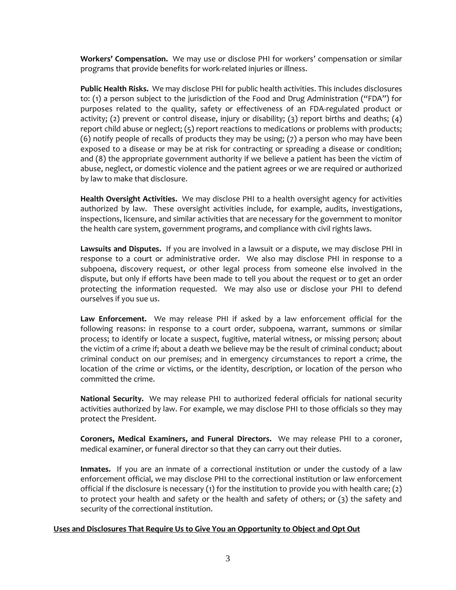**Workers' Compensation.** We may use or disclose PHI for workers' compensation or similar programs that provide benefits for work-related injuries or illness.

**Public Health Risks.** We may disclose PHI for public health activities. This includes disclosures to: (1) a person subject to the jurisdiction of the Food and Drug Administration ("FDA") for purposes related to the quality, safety or effectiveness of an FDA-regulated product or activity; (2) prevent or control disease, injury or disability; (3) report births and deaths; (4) report child abuse or neglect; (5) report reactions to medications or problems with products; (6) notify people of recalls of products they may be using; (7) a person who may have been exposed to a disease or may be at risk for contracting or spreading a disease or condition; and (8) the appropriate government authority if we believe a patient has been the victim of abuse, neglect, or domestic violence and the patient agrees or we are required or authorized by law to make that disclosure.

**Health Oversight Activities.** We may disclose PHI to a health oversight agency for activities authorized by law. These oversight activities include, for example, audits, investigations, inspections, licensure, and similar activities that are necessary for the government to monitor the health care system, government programs, and compliance with civil rights laws.

**Lawsuits and Disputes.** If you are involved in a lawsuit or a dispute, we may disclose PHI in response to a court or administrative order. We also may disclose PHI in response to a subpoena, discovery request, or other legal process from someone else involved in the dispute, but only if efforts have been made to tell you about the request or to get an order protecting the information requested. We may also use or disclose your PHI to defend ourselves if you sue us.

**Law Enforcement.** We may release PHI if asked by a law enforcement official for the following reasons: in response to a court order, subpoena, warrant, summons or similar process; to identify or locate a suspect, fugitive, material witness, or missing person; about the victim of a crime if; about a death we believe may be the result of criminal conduct; about criminal conduct on our premises; and in emergency circumstances to report a crime, the location of the crime or victims, or the identity, description, or location of the person who committed the crime.

**National Security.** We may release PHI to authorized federal officials for national security activities authorized by law. For example, we may disclose PHI to those officials so they may protect the President.

**Coroners, Medical Examiners, and Funeral Directors.** We may release PHI to a coroner, medical examiner, or funeral director so that they can carry out their duties.

**Inmates.** If you are an inmate of a correctional institution or under the custody of a law enforcement official, we may disclose PHI to the correctional institution or law enforcement official if the disclosure is necessary (1) for the institution to provide you with health care; (2) to protect your health and safety or the health and safety of others; or (3) the safety and security of the correctional institution.

#### **Uses and Disclosures That Require Us to Give You an Opportunity to Object and Opt Out**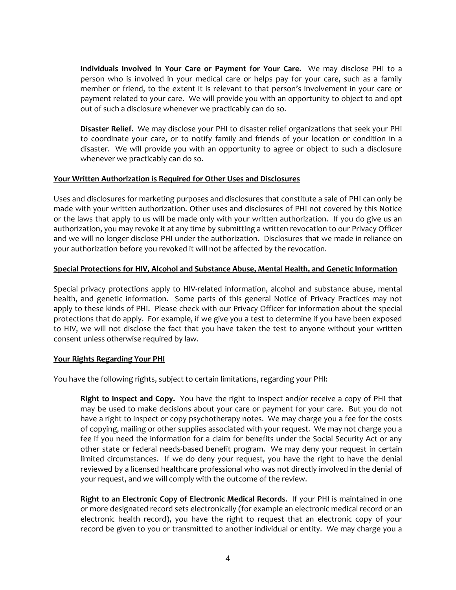**Individuals Involved in Your Care or Payment for Your Care.** We may disclose PHI to a person who is involved in your medical care or helps pay for your care, such as a family member or friend, to the extent it is relevant to that person's involvement in your care or payment related to your care. We will provide you with an opportunity to object to and opt out of such a disclosure whenever we practicably can do so.

**Disaster Relief.** We may disclose your PHI to disaster relief organizations that seek your PHI to coordinate your care, or to notify family and friends of your location or condition in a disaster. We will provide you with an opportunity to agree or object to such a disclosure whenever we practicably can do so.

#### **Your Written Authorization is Required for Other Uses and Disclosures**

Uses and disclosures for marketing purposes and disclosures that constitute a sale of PHI can only be made with your written authorization. Other uses and disclosures of PHI not covered by this Notice or the laws that apply to us will be made only with your written authorization. If you do give us an authorization, you may revoke it at any time by submitting a written revocation to our Privacy Officer and we will no longer disclose PHI under the authorization. Disclosures that we made in reliance on your authorization before you revoked it will not be affected by the revocation.

#### **Special Protections for HIV, Alcohol and Substance Abuse, Mental Health, and Genetic Information**

Special privacy protections apply to HIV-related information, alcohol and substance abuse, mental health, and genetic information. Some parts of this general Notice of Privacy Practices may not apply to these kinds of PHI. Please check with our Privacy Officer for information about the special protections that do apply. For example, if we give you a test to determine if you have been exposed to HIV, we will not disclose the fact that you have taken the test to anyone without your written consent unless otherwise required by law.

#### **Your Rights Regarding Your PHI**

You have the following rights, subject to certain limitations, regarding your PHI:

**Right to Inspect and Copy.** You have the right to inspect and/or receive a copy of PHI that may be used to make decisions about your care or payment for your care. But you do not have a right to inspect or copy psychotherapy notes. We may charge you a fee for the costs of copying, mailing or other supplies associated with your request. We may not charge you a fee if you need the information for a claim for benefits under the Social Security Act or any other state or federal needs-based benefit program. We may deny your request in certain limited circumstances. If we do deny your request, you have the right to have the denial reviewed by a licensed healthcare professional who was not directly involved in the denial of your request, and we will comply with the outcome of the review.

**Right to an Electronic Copy of Electronic Medical Records**. If your PHI is maintained in one or more designated record sets electronically (for example an electronic medical record or an electronic health record), you have the right to request that an electronic copy of your record be given to you or transmitted to another individual or entity. We may charge you a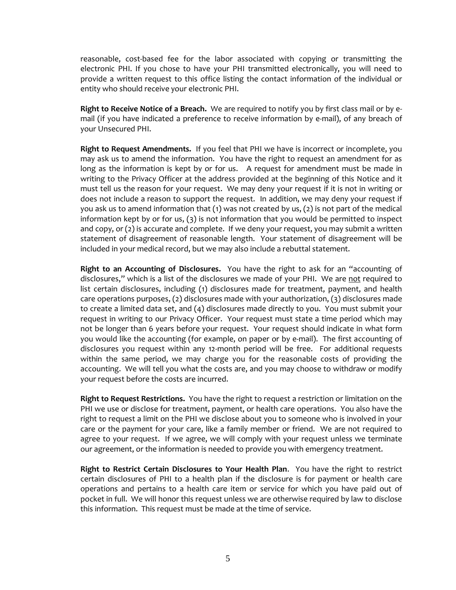reasonable, cost-based fee for the labor associated with copying or transmitting the electronic PHI. If you chose to have your PHI transmitted electronically, you will need to provide a written request to this office listing the contact information of the individual or entity who should receive your electronic PHI.

**Right to Receive Notice of a Breach.** We are required to notify you by first class mail or by email (if you have indicated a preference to receive information by e-mail), of any breach of your Unsecured PHI.

**Right to Request Amendments.** If you feel that PHI we have is incorrect or incomplete, you may ask us to amend the information. You have the right to request an amendment for as long as the information is kept by or for us. A request for amendment must be made in writing to the Privacy Officer at the address provided at the beginning of this Notice and it must tell us the reason for your request. We may deny your request if it is not in writing or does not include a reason to support the request. In addition, we may deny your request if you ask us to amend information that (1) was not created by us, (2) is not part of the medical information kept by or for us, (3) is not information that you would be permitted to inspect and copy, or (2) is accurate and complete. If we deny your request, you may submit a written statement of disagreement of reasonable length. Your statement of disagreement will be included in your medical record, but we may also include a rebuttal statement.

**Right to an Accounting of Disclosures.** You have the right to ask for an "accounting of disclosures," which is a list of the disclosures we made of your PHI. We are not required to list certain disclosures, including (1) disclosures made for treatment, payment, and health care operations purposes, (2) disclosures made with your authorization, (3) disclosures made to create a limited data set, and (4) disclosures made directly to you. You must submit your request in writing to our Privacy Officer. Your request must state a time period which may not be longer than 6 years before your request. Your request should indicate in what form you would like the accounting (for example, on paper or by e-mail). The first accounting of disclosures you request within any 12-month period will be free. For additional requests within the same period, we may charge you for the reasonable costs of providing the accounting. We will tell you what the costs are, and you may choose to withdraw or modify your request before the costs are incurred.

**Right to Request Restrictions.** You have the right to request a restriction or limitation on the PHI we use or disclose for treatment, payment, or health care operations. You also have the right to request a limit on the PHI we disclose about you to someone who is involved in your care or the payment for your care, like a family member or friend. We are not required to agree to your request. If we agree, we will comply with your request unless we terminate our agreement, or the information is needed to provide you with emergency treatment.

**Right to Restrict Certain Disclosures to Your Health Plan**. You have the right to restrict certain disclosures of PHI to a health plan if the disclosure is for payment or health care operations and pertains to a health care item or service for which you have paid out of pocket in full. We will honor this request unless we are otherwise required by law to disclose this information. This request must be made at the time of service.